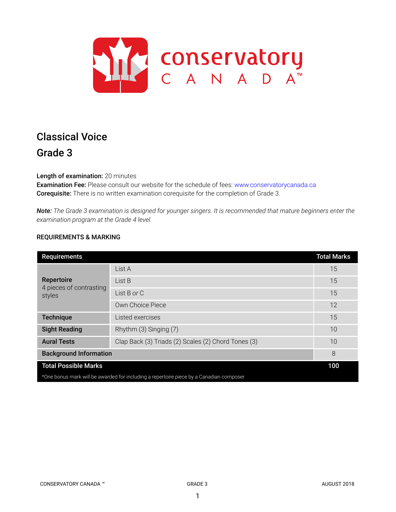

# Classical Voice Grade 3

Length of examination: 20 minutes

Examination Fee: Please consult our website for the schedule of fees: www.conservatorycanada.ca Corequisite: There is no written examination corequisite for the completion of Grade 3.

Note: The Grade 3 examination is designed for younger singers. It is recommended that mature beginners enter the *examination program at the Grade 4 level.*

# REQUIREMENTS & MARKING

| <b>Requirements</b>                                                                     |                                                     | <b>Total Marks</b> |
|-----------------------------------------------------------------------------------------|-----------------------------------------------------|--------------------|
| Repertoire<br>4 pieces of contrasting<br>styles                                         | List A                                              | 15                 |
|                                                                                         | List B                                              | 15                 |
|                                                                                         | List B or C                                         | 15                 |
|                                                                                         | Own Choice Piece                                    | 12                 |
| <b>Technique</b>                                                                        | Listed exercises                                    | 15                 |
| <b>Sight Reading</b>                                                                    | Rhythm (3) Singing (7)                              | 10                 |
| <b>Aural Tests</b>                                                                      | Clap Back (3) Triads (2) Scales (2) Chord Tones (3) | 10                 |
| <b>Background Information</b>                                                           |                                                     | 8                  |
| <b>Total Possible Marks</b>                                                             |                                                     | 100                |
| *One bonus mark will be awarded for including a repertoire piece by a Canadian composer |                                                     |                    |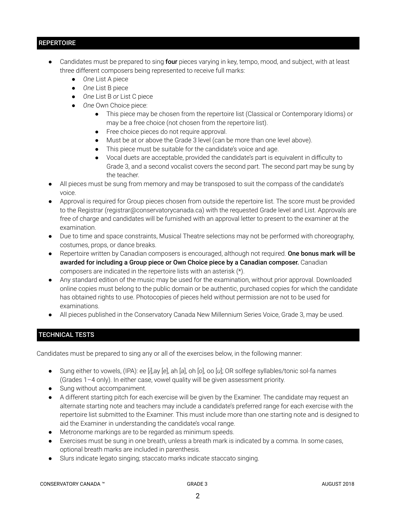# **REPERTOIRE**

- Candidates must be prepared to sing four pieces varying in key, tempo, mood, and subject, with at least three different composers being represented to receive full marks:
	- *One* List A piece
	- *One* List B piece
	- *One* List B *or* List C piece
	- *One* Own Choice piece:
		- This piece may be chosen from the repertoire list (Classical or Contemporary Idioms) or may be a free choice (not chosen from the repertoire list).
		- Free choice pieces do not require approval.
		- Must be at or above the Grade 3 level (can be more than one level above).
		- This piece must be suitable for the candidate's voice and age.
		- Vocal duets are acceptable, provided the candidate's part is equivalent in difficulty to Grade 3, and a second vocalist covers the second part. The second part may be sung by the teacher.
- All pieces must be sung from memory and may be transposed to suit the compass of the candidate's voice.
- Approval is required for Group pieces chosen from outside the repertoire list. The score must be provided to the Registrar (registrar@conservatorycanada.ca) with the requested Grade level and List. Approvals are free of charge and candidates will be furnished with an approval letter to present to the examiner at the examination.
- Due to time and space constraints, Musical Theatre selections may not be performed with choreography, costumes, props, or dance breaks.
- Repertoire written by Canadian composers is encouraged, although not required. One bonus mark will be awarded for including a Group piece or Own Choice piece by a Canadian composer. Canadian composers are indicated in the repertoire lists with an asterisk (\*).
- Any standard edition of the music may be used for the examination, without prior approval. Downloaded online copies must belong to the public domain or be authentic, purchased copies for which the candidate has obtained rights to use. Photocopies of pieces held without permission are not to be used for examinations.
- All pieces published in the Conservatory Canada New Millennium Series Voice, Grade 3, may be used.

# TECHNICAL TESTS

Candidates must be prepared to sing any or all of the exercises below, in the following manner:

- Sung either to vowels, (IPA): ee [*i*],ay [*e*], ah [*a*], oh [*o*], oo [*u*]; OR solfege syllables/tonic sol-fa names (Grades 1–4 only). In either case, vowel quality will be given assessment priority.
- Sung without accompaniment.
- A different starting pitch for each exercise will be given by the Examiner. The candidate may request an alternate starting note and teachers may include a candidate's preferred range for each exercise with the repertoire list submitted to the Examiner. This must include more than one starting note and is designed to aid the Examiner in understanding the candidate's vocal range.
- Metronome markings are to be regarded as minimum speeds.
- Exercises must be sung in one breath, unless a breath mark is indicated by a comma. In some cases, optional breath marks are included in parenthesis.
- Slurs indicate legato singing; staccato marks indicate staccato singing.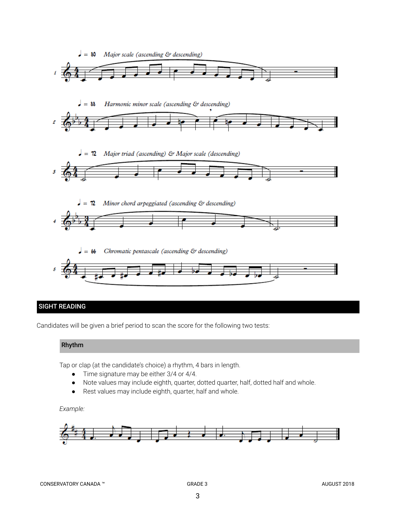

# SIGHT READING

Candidates will be given a brief period to scan the score for the following two tests:

# Rhythm

Tap or clap (at the candidate's choice) a rhythm, 4 bars in length.

- Time signature may be either 3/4 or 4/4.
- Note values may include eighth, quarter, dotted quarter, half, dotted half and whole.
- Rest values may include eighth, quarter, half and whole.

# *Example:*

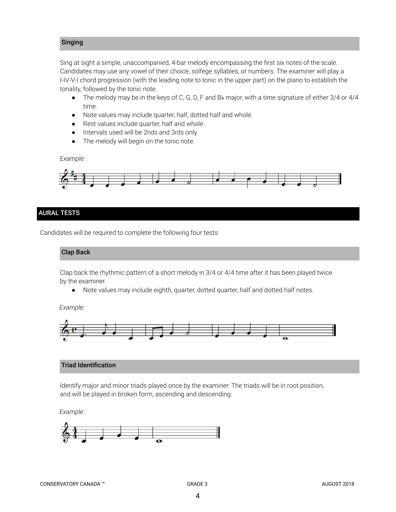# Singing

Sing at sight a simple, unaccompanied, 4-bar melody encompassing the first six notes of the scale. Candidates may use any vowel of their choice, solfege syllables, or numbers. The examiner will play a I-IV-V-I chord progression (with the leading note to tonic in the upper part) on the piano to establish the tonality, followed by the tonic note.

- *●* The melody may be in the keys of C, G, D, F and B♭ major, with a time signature of either 3/4 or 4/4 time.
- Note values may include quarter, half, dotted half and whole.
- Rest values include quarter, half and whole.
- Intervals used will be 2nds and 3rds only.
- The melody will begin on the tonic note.

*Example:*



# AURAL TESTS

Candidates will be required to complete the following four tests:

# Clap Back

Clap back the rhythmic pattern of a short melody in 3/4 or 4/4 time after it has been played twice by the examiner.

● Note values may include eighth, quarter, dotted quarter, half and dotted half notes.

*Example:*



#### Triad Identification

Identify major and minor triads played once by the examiner. The triads will be in root position, and will be played in broken form, ascending and descending.

*Example:*

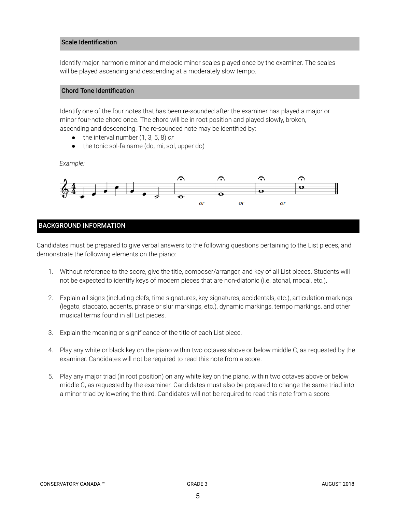# Scale Identification

Identify major, harmonic minor and melodic minor scales played once by the examiner. The scales will be played ascending and descending at a moderately slow tempo.

# Chord Tone Identification

Identify one of the four notes that has been re-sounded after the examiner has played a major or minor four-note chord once. The chord will be in root position and played slowly, broken, ascending and descending. The re-sounded note may be identified by:

- the interval number (1, 3, 5, 8) *or*
- the tonic sol-fa name (do, mi, sol, upper do)

*Example:*



# BACKGROUND INFORMATION

Candidates must be prepared to give verbal answers to the following questions pertaining to the List pieces, and demonstrate the following elements on the piano:

- 1. Without reference to the score, give the title, composer/arranger, and key of all List pieces. Students will not be expected to identify keys of modern pieces that are non-diatonic (i.e. atonal, modal, etc.).
- 2. Explain all signs (including clefs, time signatures, key signatures, accidentals, etc.), articulation markings (legato, staccato, accents, phrase or slur markings, etc.), dynamic markings, tempo markings, and other musical terms found in all List pieces.
- 3. Explain the meaning or significance of the title of each List piece.
- 4. Play any white or black key on the piano within two octaves above or below middle C, as requested by the examiner. Candidates will not be required to read this note from a score.
- 5. Play any major triad (in root position) on any white key on the piano, within two octaves above or below middle C, as requested by the examiner. Candidates must also be prepared to change the same triad into a minor triad by lowering the third. Candidates will not be required to read this note from a score.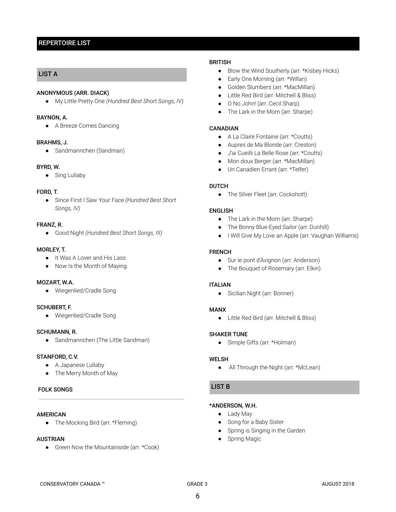# REPERTOIRE LIST

# LIST A

## ANONYMOUS (ARR. DIACK)

● My Little Pretty One *(Hundred Best Short Songs, IV)*

#### BAYNON, A.

● A Breeze Comes Dancing

# BRAHMS, J.

• Sandmannchen (Sandman)

#### BYRD, W.

● Sing Lullaby

#### FORD, T.

● Since First I Saw Your Face *(Hundred Best Short Songs, IV)*

#### FRANZ, R.

● Good Night *(Hundred Best Short Songs, III)*

#### MORLEY, T.

- It Was A Lover and His Lass
- Now Is the Month of Maying

#### MOZART, W.A.

● Wiegenlied/Cradle Song

#### SCHUBERT, F.

● Wiegenlied/Cradle Song

#### SCHUMANN, R.

• Sandmannchen (The Little Sandman)

#### STANFORD, C.V.

- A Japanese Lullaby
- The Merry Month of May

# FOLK SONGS

#### AMERICAN

• The Mocking Bird (arr. \*Fleming)

#### AUSTRIAN

● Green Now the Mountainside (arr. \*Cook)

### BRITISH

- Blow the Wind Southerly (arr. \*Kisbey Hicks)
- Early One Morning (arr. \*Willan)
- Golden Slumbers (arr. \*MacMillan)
- Little Red Bird (arr. Mitchell & Bliss)
- O No John! (arr. Cecil Sharp)
- The Lark in the Morn (arr. Sharpe)

# CANADIAN

- A La Claire Fontaine (arr. \*Coutts)
- Aupres de Ma Blonde (arr. Creston)
- J'ai Cueilli La Belle Rose (arr. \*Coutts)
- Mon doux Berger (arr. \*MacMillan)
- Un Canadien Errant (arr. \*Telfer)

# DUTCH

• The Silver Fleet (arr. Cockshott)

#### ENGLISH

- The Lark in the Morn (arr. Sharpe)
- The Bonny Blue-Eyed Sailor (arr. Dunhill)
- I Will Give My Love an Apple (arr. Vaughan Williams)

## FRENCH

- Sur le pont d'Avignon (arr. Anderson)
- The Bouquet of Rosemary (arr. Elkin)

#### ITALIAN

● Sicilian Night (arr. Bonner)

## MANX

● Little Red Bird (arr. Mitchell & Bliss)

#### SHAKER TUNE

● Simple Gifts (arr. \*Holman)

#### WELSH

● All Through the Night (arr. \*McLean)

# LIST B

## \*ANDERSON, W.H.

- Lady May
- Song for a Baby Sister
- Spring is Singing in the Garden
- Spring Magic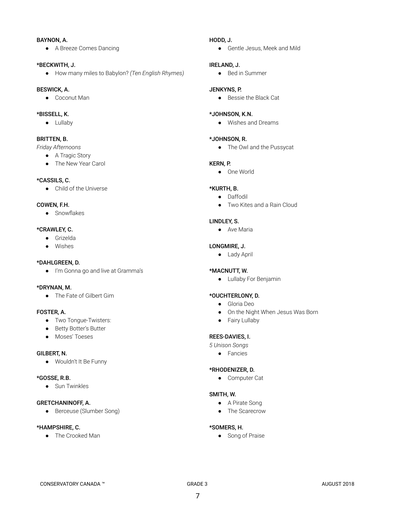# BAYNON, A.

● A Breeze Comes Dancing

### \*BECKWITH, J.

● How many miles to Babylon? *(Ten English Rhymes)*

# BESWICK, A.

● Coconut Man

# \*BISSELL, K.

● Lullaby

# BRITTEN, B.

*Friday Afternoons*

- A Tragic Story
- The New Year Carol

#### \*CASSILS, C.

● Child of the Universe

# COWEN, F.H.

● Snowflakes

#### \*CRAWLEY, C.

- Grizelda
- Wishes

# \*DAHLGREEN, D.

● I'm Gonna go and live at Gramma's

#### \*DRYNAN, M.

● The Fate of Gilbert Gim

# FOSTER, A.

- Two Tongue-Twisters:
- Betty Botter's Butter
- Moses' Toeses

## GILBERT, N.

● Wouldn't It Be Funny

#### \*GOSSE, R.B.

● Sun Twinkles

#### GRETCHANINOFF, A.

• Berceuse (Slumber Song)

#### \*HAMPSHIRE, C.

● The Crooked Man

## HODD, J.

● Gentle Jesus, Meek and Mild

# IRELAND, J.

● Bed in Summer

## JENKYNS, P.

● Bessie the Black Cat

#### \*JOHNSON, K.N.

● Wishes and Dreams

# \*JOHNSON, R.

● The Owl and the Pussycat

# KERN, P.

● One World

## \*KURTH, B.

- Daffodil
- Two Kites and a Rain Cloud

## LINDLEY, S.

● Ave Maria

# LONGMIRE, J.

● Lady April

# \*MACNUTT, W.

● Lullaby For Benjamin

# \*OUCHTERLONY, D.

- Gloria Deo
- On the Night When Jesus Was Born
- Fairy Lullaby

#### REES-DAVIES, I.

*5 Unison Songs*

● Fancies

# \*RHODENIZER, D.

● Computer Cat

# SMITH, W.

- A Pirate Song
- The Scarecrow

#### \*SOMERS, H.

● Song of Praise